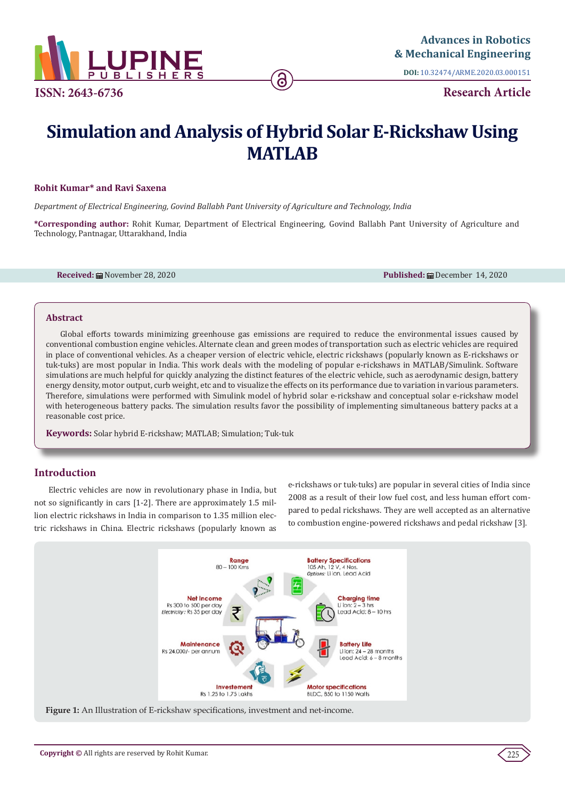

**DOI:** [10.32474/ARME.2020.03.0001](http://dx.doi.org/10.32474/ARME.2020.03.000151)51

**Research Article**

# **Simulation and Analysis of Hybrid Solar E-Rickshaw Using MATLAB**

6

#### **Rohit Kumar\* and Ravi Saxena**

*Department of Electrical Engineering, Govind Ballabh Pant University of Agriculture and Technology, India*

**\*Corresponding author:** Rohit Kumar, Department of Electrical Engineering, Govind Ballabh Pant University of Agriculture and Technology, Pantnagar, Uttarakhand, India

**Received: 曲 November 28, 2020 Published: 曲 December 14, 2020 Published: 曲 December 14, 2020** 

#### **Abstract**

Global efforts towards minimizing greenhouse gas emissions are required to reduce the environmental issues caused by conventional combustion engine vehicles. Alternate clean and green modes of transportation such as electric vehicles are required in place of conventional vehicles. As a cheaper version of electric vehicle, electric rickshaws (popularly known as E-rickshaws or tuk-tuks) are most popular in India. This work deals with the modeling of popular e-rickshaws in MATLAB/Simulink. Software simulations are much helpful for quickly analyzing the distinct features of the electric vehicle, such as aerodynamic design, battery energy density, motor output, curb weight, etc and to visualize the effects on its performance due to variation in various parameters. Therefore, simulations were performed with Simulink model of hybrid solar e-rickshaw and conceptual solar e-rickshaw model with heterogeneous battery packs. The simulation results favor the possibility of implementing simultaneous battery packs at a reasonable cost price.

**Keywords:** Solar hybrid E-rickshaw; MATLAB; Simulation; Tuk-tuk

# **Introduction**

Electric vehicles are now in revolutionary phase in India, but not so significantly in cars [1-2]. There are approximately 1.5 million electric rickshaws in India in comparison to 1.35 million electric rickshaws in China. Electric rickshaws (popularly known as

e-rickshaws or tuk-tuks) are popular in several cities of India since 2008 as a result of their low fuel cost, and less human effort compared to pedal rickshaws. They are well accepted as an alternative to combustion engine-powered rickshaws and pedal rickshaw [3].



**Figure 1:** An Illustration of E-rickshaw specifications, investment and net-income.

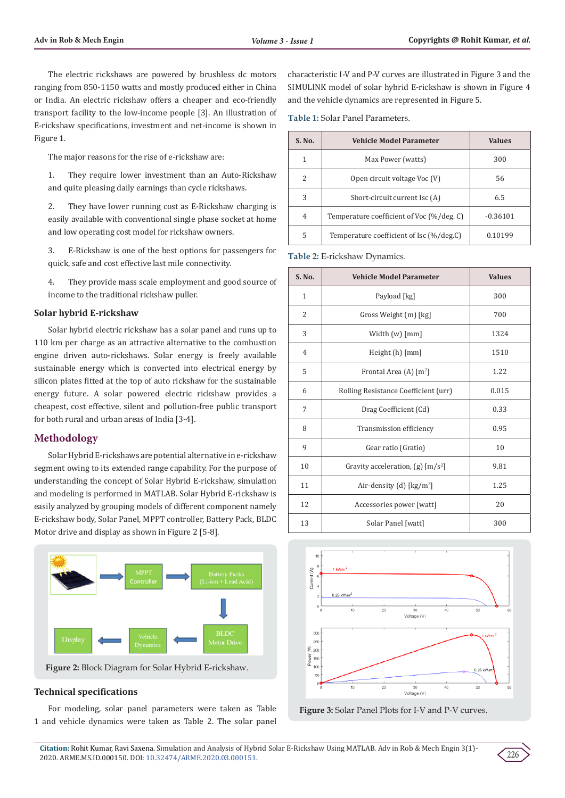The electric rickshaws are powered by brushless dc motors ranging from 850-1150 watts and mostly produced either in China or India. An electric rickshaw offers a cheaper and eco-friendly transport facility to the low-income people [3]. An illustration of E-rickshaw specifications, investment and net-income is shown in Figure 1.

The major reasons for the rise of e-rickshaw are:

1. They require lower investment than an Auto-Rickshaw and quite pleasing daily earnings than cycle rickshaws.

2. They have lower running cost as E-Rickshaw charging is easily available with conventional single phase socket at home and low operating cost model for rickshaw owners.

3. E-Rickshaw is one of the best options for passengers for quick, safe and cost effective last mile connectivity.

4. They provide mass scale employment and good source of income to the traditional rickshaw puller.

#### **Solar hybrid E-rickshaw**

Solar hybrid electric rickshaw has a solar panel and runs up to 110 km per charge as an attractive alternative to the combustion engine driven auto-rickshaws. Solar energy is freely available sustainable energy which is converted into electrical energy by silicon plates fitted at the top of auto rickshaw for the sustainable energy future. A solar powered electric rickshaw provides a cheapest, cost effective, silent and pollution-free public transport for both rural and urban areas of India [3-4].

# **Methodology**

Solar Hybrid E-rickshaws are potential alternative in e-rickshaw segment owing to its extended range capability. For the purpose of understanding the concept of Solar Hybrid E-rickshaw, simulation and modeling is performed in MATLAB. Solar Hybrid E-rickshaw is easily analyzed by grouping models of different component namely E-rickshaw body, Solar Panel, MPPT controller, Battery Pack, BLDC Motor drive and display as shown in Figure 2 [5-8].



**Figure 2:** Block Diagram for Solar Hybrid E-rickshaw.

## **Technical specifications**

For modeling, solar panel parameters were taken as Table 1 and vehicle dynamics were taken as Table 2. The solar panel

characteristic I-V and P-V curves are illustrated in Figure 3 and the SIMULINK model of solar hybrid E-rickshaw is shown in Figure 4 and the vehicle dynamics are represented in Figure 5.

**Table 1:** Solar Panel Parameters.

| S. No.        | <b>Vehicle Model Parameter</b>            | <b>Values</b> |
|---------------|-------------------------------------------|---------------|
| 1             | Max Power (watts)                         | 300           |
| $\mathcal{L}$ | Open circuit voltage Voc (V)              | 56            |
| 3             | Short-circuit current Isc (A)             | 6.5           |
| 4             | Temperature coefficient of Voc (%/deg. C) | $-0.36101$    |
| 5             | Temperature coefficient of Isc (%/deg.C)  | 0.10199       |

**Table 2:** E-rickshaw Dynamics.

| S. No.         | <b>Vehicle Model Parameter</b>                  | <b>Values</b> |
|----------------|-------------------------------------------------|---------------|
| $\mathbf{1}$   | Payload [kg]                                    | 300           |
| $\overline{2}$ | Gross Weight (m) [kg]                           | 700           |
| 3              | Width $(w)$ $\lceil mm \rceil$                  | 1324          |
| $\overline{4}$ | Height (h) [mm]                                 | 1510          |
| 5              | Frontal Area (A) $[m^2]$                        | 1.22          |
| 6              | Rolling Resistance Coefficient (urr)            | 0.015         |
| 7              | Drag Coefficient (Cd)                           | 0.33          |
| 8              | Transmission efficiency                         | 0.95          |
| 9              | Gear ratio (Gratio)                             | 10            |
| 10             | Gravity acceleration, $(g)$ [m/s <sup>2</sup> ] | 9.81          |
| 11             | Air-density (d) $\left[\frac{kg}{m^3}\right]$   | 1.25          |
| 12             | Accessories power [watt]                        | 20            |
| 13             | Solar Panel [watt]                              | 300           |



**Figure 3:** Solar Panel Plots for I-V and P-V curves.

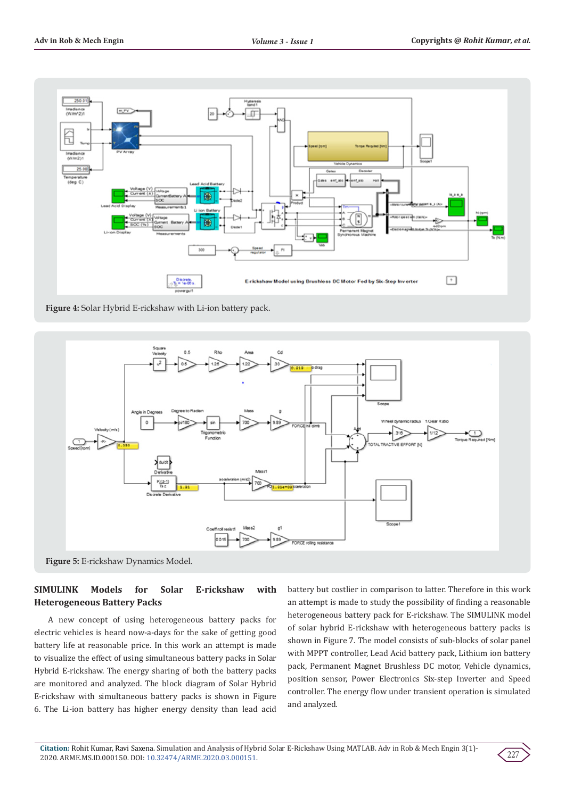

**Figure 4:** Solar Hybrid E-rickshaw with Li-ion battery pack.



# **SIMULINK Models for Solar E-rickshaw with Heterogeneous Battery Packs**

A new concept of using heterogeneous battery packs for electric vehicles is heard now-a-days for the sake of getting good battery life at reasonable price. In this work an attempt is made to visualize the effect of using simultaneous battery packs in Solar Hybrid E-rickshaw. The energy sharing of both the battery packs are monitored and analyzed. The block diagram of Solar Hybrid E-rickshaw with simultaneous battery packs is shown in Figure 6. The Li-ion battery has higher energy density than lead acid

battery but costlier in comparison to latter. Therefore in this work an attempt is made to study the possibility of finding a reasonable heterogeneous battery pack for E-rickshaw. The SIMULINK model of solar hybrid E-rickshaw with heterogeneous battery packs is shown in Figure 7. The model consists of sub-blocks of solar panel with MPPT controller, Lead Acid battery pack, Lithium ion battery pack, Permanent Magnet Brushless DC motor, Vehicle dynamics, position sensor, Power Electronics Six-step Inverter and Speed controller. The energy flow under transient operation is simulated and analyzed.

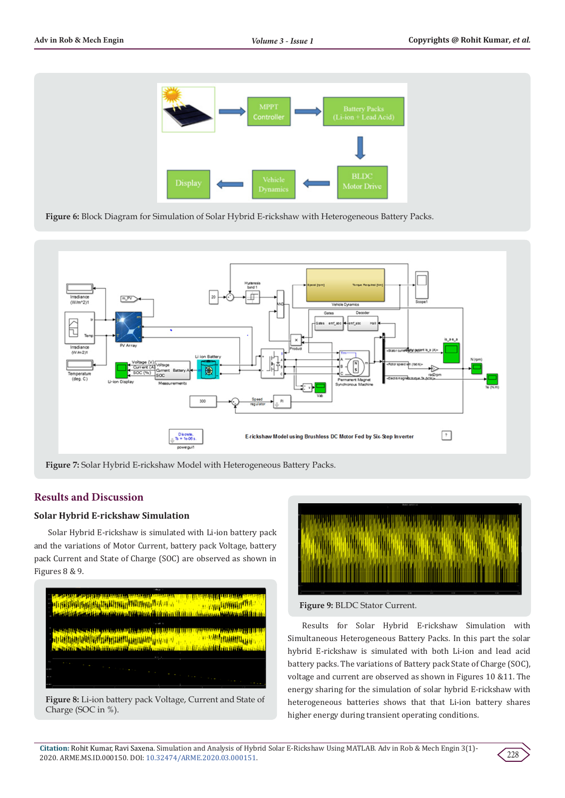

**Figure 6:** Block Diagram for Simulation of Solar Hybrid E-rickshaw with Heterogeneous Battery Packs.



**Figure 7:** Solar Hybrid E-rickshaw Model with Heterogeneous Battery Packs.

# **Results and Discussion**

# **Solar Hybrid E-rickshaw Simulation**

Solar Hybrid E-rickshaw is simulated with Li-ion battery pack and the variations of Motor Current, battery pack Voltage, battery pack Current and State of Charge (SOC) are observed as shown in Figures 8 & 9.



**Figure 8:** Li-ion battery pack Voltage, Current and State of Charge (SOC in %).



**Figure 9:** BLDC Stator Current.

Results for Solar Hybrid E-rickshaw Simulation with Simultaneous Heterogeneous Battery Packs. In this part the solar hybrid E-rickshaw is simulated with both Li-ion and lead acid battery packs. The variations of Battery pack State of Charge (SOC), voltage and current are observed as shown in Figures 10 &11. The energy sharing for the simulation of solar hybrid E-rickshaw with heterogeneous batteries shows that that Li-ion battery shares higher energy during transient operating conditions.